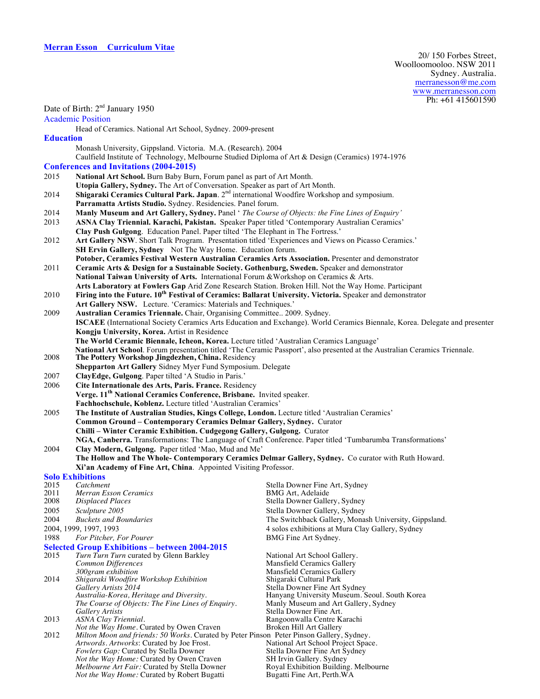|                  |                                                                                                                                                                      | TUI TIJUUIJA                                                                                                                |  |
|------------------|----------------------------------------------------------------------------------------------------------------------------------------------------------------------|-----------------------------------------------------------------------------------------------------------------------------|--|
|                  | Date of Birth: 2 <sup>nd</sup> January 1950                                                                                                                          |                                                                                                                             |  |
|                  | <b>Academic Position</b>                                                                                                                                             |                                                                                                                             |  |
|                  | Head of Ceramics. National Art School, Sydney. 2009-present                                                                                                          |                                                                                                                             |  |
| <b>Education</b> |                                                                                                                                                                      |                                                                                                                             |  |
|                  | Monash University, Gippsland. Victoria. M.A. (Research). 2004                                                                                                        |                                                                                                                             |  |
|                  | Caulfield Institute of Technology, Melbourne Studied Diploma of Art & Design (Ceramics) 1974-1976                                                                    |                                                                                                                             |  |
|                  | <b>Conferences and Invitations (2004-2015)</b>                                                                                                                       |                                                                                                                             |  |
| 2015             | National Art School. Burn Baby Burn, Forum panel as part of Art Month.                                                                                               |                                                                                                                             |  |
|                  | Utopia Gallery, Sydney. The Art of Conversation. Speaker as part of Art Month.                                                                                       |                                                                                                                             |  |
| 2014             | Shigaraki Ceramics Cultural Park. Japan. 2 <sup>nd</sup> international Woodfire Workshop and symposium.                                                              |                                                                                                                             |  |
|                  | Parramatta Artists Studio. Sydney. Residencies. Panel forum.                                                                                                         |                                                                                                                             |  |
| 2014             | Manly Museum and Art Gallery, Sydney. Panel ' The Course of Objects: the Fine Lines of Enquiry'                                                                      |                                                                                                                             |  |
| 2013             | ASNA Clay Triennial. Karachi, Pakistan. Speaker Paper titled 'Contemporary Australian Ceramics'                                                                      |                                                                                                                             |  |
|                  | Clay Push Gulgong. Education Panel. Paper tilted 'The Elephant in The Fortress.'                                                                                     |                                                                                                                             |  |
| 2012             |                                                                                                                                                                      |                                                                                                                             |  |
|                  | Art Gallery NSW. Short Talk Program. Presentation titled 'Experiences and Views on Picasso Ceramics.'<br>SH Ervin Gallery, Sydney Not The Way Home. Education forum. |                                                                                                                             |  |
|                  | Potober, Ceramics Festival Western Australian Ceramics Arts Association. Presenter and demonstrator                                                                  |                                                                                                                             |  |
| 2011             | Ceramic Arts & Design for a Sustainable Society. Gothenburg, Sweden. Speaker and demonstrator                                                                        |                                                                                                                             |  |
|                  | National Taiwan University of Arts. International Forum & Workshop on Ceramics & Arts.                                                                               |                                                                                                                             |  |
|                  | Arts Laboratory at Fowlers Gap Arid Zone Research Station. Broken Hill. Not the Way Home. Participant                                                                |                                                                                                                             |  |
| 2010             | Firing into the Future. 10 <sup>th</sup> Festival of Ceramics: Ballarat University. Victoria. Speaker and demonstrator                                               |                                                                                                                             |  |
|                  | Art Gallery NSW. Lecture. 'Ceramics: Materials and Techniques.'                                                                                                      |                                                                                                                             |  |
|                  |                                                                                                                                                                      |                                                                                                                             |  |
| 2009             | Australian Ceramics Triennale. Chair, Organising Committee 2009. Sydney.                                                                                             | ISCAEE (International Society Ceramics Arts Education and Exchange). World Ceramics Biennale, Korea. Delegate and presenter |  |
|                  |                                                                                                                                                                      |                                                                                                                             |  |
|                  | Kongju University, Korea. Artist in Residence                                                                                                                        |                                                                                                                             |  |
|                  | The World Ceramic Biennale, Icheon, Korea. Lecture titled 'Australian Ceramics Language'                                                                             |                                                                                                                             |  |
| 2008             | The Pottery Workshop Jingdezhen, China. Residency                                                                                                                    | National Art School. Forum presentation titled 'The Ceramic Passport', also presented at the Australian Ceramics Triennale. |  |
|                  | Shepparton Art Gallery Sidney Myer Fund Symposium. Delegate                                                                                                          |                                                                                                                             |  |
| 2007             | ClayEdge, Gulgong. Paper tilted 'A Studio in Paris.'                                                                                                                 |                                                                                                                             |  |
| 2006             | Cite Internationale des Arts, Paris. France. Residency                                                                                                               |                                                                                                                             |  |
|                  | Verge. 11 <sup>th</sup> National Ceramics Conference, Brisbane. Invited speaker.                                                                                     |                                                                                                                             |  |
|                  | Fachhochschule, Koblenz. Lecture titled 'Australian Ceramics'                                                                                                        |                                                                                                                             |  |
|                  | The Institute of Australian Studies, Kings College, London. Lecture titled 'Australian Ceramics'                                                                     |                                                                                                                             |  |
| 2005             |                                                                                                                                                                      |                                                                                                                             |  |
|                  | Common Ground - Contemporary Ceramics Delmar Gallery, Sydney. Curator                                                                                                |                                                                                                                             |  |
|                  | Chilli - Winter Ceramic Exhibition. Cudgegong Gallery, Gulgong. Curator                                                                                              |                                                                                                                             |  |
|                  | NGA, Canberra. Transformations: The Language of Craft Conference. Paper titled 'Tumbarumba Transformations'                                                          |                                                                                                                             |  |
| 2004             | Clay Modern, Gulgong. Paper titled 'Mao, Mud and Me'<br>The Hollow and The Whole- Contemporary Ceramics Delmar Gallery, Sydney. Co curator with Ruth Howard.         |                                                                                                                             |  |
|                  |                                                                                                                                                                      |                                                                                                                             |  |
|                  | Xi'an Academy of Fine Art, China. Appointed Visiting Professor.                                                                                                      |                                                                                                                             |  |
|                  | <b>Solo Exhibitions</b><br>Catchment                                                                                                                                 |                                                                                                                             |  |
| 2015<br>2011     | Merran Esson Ceramics                                                                                                                                                | Stella Downer Fine Art, Sydney<br><b>BMG</b> Art, Adelaide                                                                  |  |
| 2008             | <b>Displaced Places</b>                                                                                                                                              | Stella Downer Gallery, Sydney                                                                                               |  |
| 2005             | Sculpture 2005                                                                                                                                                       | Stella Downer Gallery, Sydney                                                                                               |  |
| 2004             | <b>Buckets and Boundaries</b>                                                                                                                                        | The Switchback Gallery, Monash University, Gippsland.                                                                       |  |
|                  | 2004, 1999, 1997, 1993                                                                                                                                               | 4 solos exhibitions at Mura Clay Gallery, Sydney                                                                            |  |
| 1988             | For Pitcher, For Pourer                                                                                                                                              |                                                                                                                             |  |
|                  |                                                                                                                                                                      | BMG Fine Art Sydney.                                                                                                        |  |
| 2015             | <b>Selected Group Exhibitions – between 2004-2015</b>                                                                                                                |                                                                                                                             |  |
|                  | Turn Turn Turn curated by Glenn Barkley<br>Common Differences                                                                                                        | National Art School Gallery.<br>Mansfield Ceramics Gallery                                                                  |  |
|                  | 300gram exhibition                                                                                                                                                   | <b>Mansfield Ceramics Gallery</b>                                                                                           |  |
| 2014             | Shigaraki Woodfire Workshop Exhibition                                                                                                                               | Shigaraki Cultural Park                                                                                                     |  |
|                  | Gallery Artists 2014                                                                                                                                                 | Stella Downer Fine Art Sydney                                                                                               |  |
|                  | Australia-Korea, Heritage and Diversity.                                                                                                                             | Hanyang University Museum. Seoul. South Korea                                                                               |  |
|                  | The Course of Objects: The Fine Lines of Enquiry.                                                                                                                    | Manly Museum and Art Gallery, Sydney                                                                                        |  |
|                  | <b>Gallery Artists</b>                                                                                                                                               | Stella Downer Fine Art.                                                                                                     |  |
| 2013             | ASNA Clay Triennial.<br>Not the Way Home. Curated by Owen Craven                                                                                                     | Rangoonwalla Centre Karachi<br>Broken Hill Art Gallery                                                                      |  |
| 2012             | Milton Moon and friends: 50 Works. Curated by Peter Pinson Peter Pinson Gallery, Sydney.                                                                             |                                                                                                                             |  |
|                  | Artwords. Artworks: Curated by Joe Frost.                                                                                                                            | National Art School Project Space.                                                                                          |  |
|                  | Fowlers Gap: Curated by Stella Downer                                                                                                                                | Stella Downer Fine Art Sydney                                                                                               |  |
|                  | Not the Way Home: Curated by Owen Craven                                                                                                                             | SH Irvin Gallery. Sydney                                                                                                    |  |
|                  | Melbourne Art Fair: Curated by Stella Downer                                                                                                                         | Royal Exhibition Building. Melbourne                                                                                        |  |
|                  | Not the Way Home: Curated by Robert Bugatti                                                                                                                          | Bugatti Fine Art, Perth.WA                                                                                                  |  |